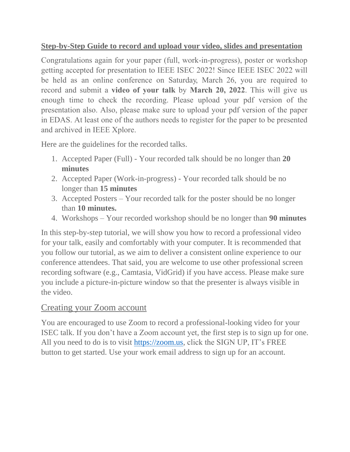### **Step-by-Step Guide to record and upload your video, slides and presentation**

Congratulations again for your paper (full, work-in-progress), poster or workshop getting accepted for presentation to IEEE ISEC 2022! Since IEEE ISEC 2022 will be held as an online conference on Saturday, March 26, you are required to record and submit a **video of your talk** by **March 20, 2022**. This will give us enough time to check the recording. Please upload your pdf version of the presentation also. Also, please make sure to upload your pdf version of the paper in EDAS. At least one of the authors needs to register for the paper to be presented and archived in IEEE Xplore.

Here are the guidelines for the recorded talks.

- 1. Accepted Paper (Full) Your recorded talk should be no longer than **20 minutes**
- 2. Accepted Paper (Work-in-progress) Your recorded talk should be no longer than **15 minutes**
- 3. Accepted Posters Your recorded talk for the poster should be no longer than **10 minutes.**
- 4. Workshops Your recorded workshop should be no longer than **90 minutes**

In this step-by-step tutorial, we will show you how to record a professional video for your talk, easily and comfortably with your computer. It is recommended that you follow our tutorial, as we aim to deliver a consistent online experience to our conference attendees. That said, you are welcome to use other professional screen recording software (e.g., Camtasia, VidGrid) if you have access. Please make sure you include a picture-in-picture window so that the presenter is always visible in the video.

## Creating your Zoom account

You are encouraged to use Zoom to record a professional-looking video for your ISEC talk. If you don't have a Zoom account yet, the first step is to sign up for one. All you need to do is to visit [https://zoom.us,](https://zoom.us/) click the SIGN UP, IT's FREE button to get started. Use your work email address to sign up for an account.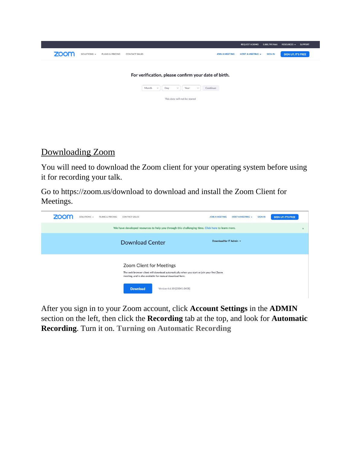|                                                                                  |                       | <b>REQUEST A DEMO</b>   | 1.888.799.9666 | RESOURCES $\blacktriangledown$ | <b>SUPPORT</b> |
|----------------------------------------------------------------------------------|-----------------------|-------------------------|----------------|--------------------------------|----------------|
| zoom<br>SOLUTIONS $\sim$<br><b>PLANS &amp; PRICING</b><br><b>CONTACT SALES</b>   | <b>JOIN A MEETING</b> | <b>HOST A MEETING +</b> | <b>SIGN IN</b> | <b>SIGN UP, IT'S FREE</b>      |                |
|                                                                                  |                       |                         |                |                                |                |
| For verification, please confirm your date of birth.                             |                       |                         |                |                                |                |
| Day<br>Continue<br>Month<br>Year<br>$\checkmark$<br>$\checkmark$<br>$\checkmark$ |                       |                         |                |                                |                |
| This data will not be stored                                                     |                       |                         |                |                                |                |
|                                                                                  |                       |                         |                |                                |                |
|                                                                                  |                       |                         |                |                                |                |

# Downloading Zoom

You will need to download the Zoom client for your operating system before using it for recording your talk.

Go to https://zoom.us/download to download and install the Zoom Client for Meetings.



After you sign in to your Zoom account, click **Account Settings** in the **ADMIN**  section on the left, then click the **Recording** tab at the top, and look for **Automatic Recording**. Turn it on. **Turning on Automatic Recording**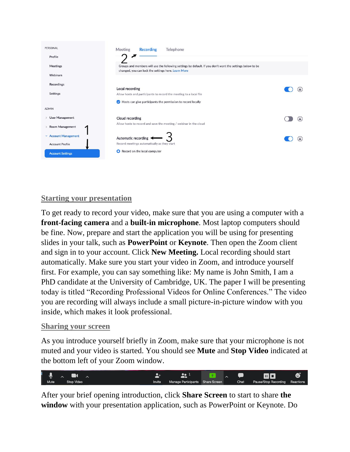

#### **Starting your presentation**

To get ready to record your video, make sure that you are using a computer with a **front-facing camera** and a **built-in microphone**. Most laptop computers should be fine. Now, prepare and start the application you will be using for presenting slides in your talk, such as **PowerPoint** or **Keynote**. Then open the Zoom client and sign in to your account. Click **New Meeting.** Local recording should start automatically. Make sure you start your video in Zoom, and introduce yourself first. For example, you can say something like: My name is John Smith, I am a PhD candidate at the University of Cambridge, UK. The paper I will be presenting today is titled "Recording Professional Videos for Online Conferences." The video you are recording will always include a small picture-in-picture window with you inside, which makes it look professional.

#### **Sharing your screen**

As you introduce yourself briefly in Zoom, make sure that your microphone is not muted and your video is started. You should see **Mute** and **Stop Video** indicated at the bottom left of your Zoom window.



After your brief opening introduction, click **Share Screen** to start to share **the window** with your presentation application, such as PowerPoint or Keynote. Do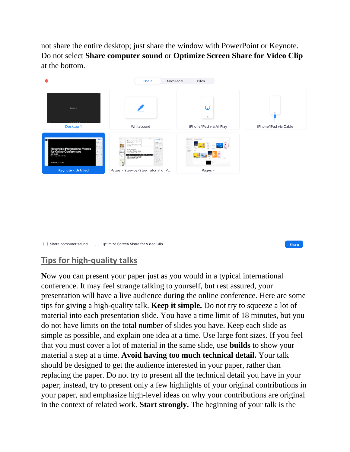not share the entire desktop; just share the window with PowerPoint or Keynote. Do not select **Share computer sound** or **Optimize Screen Share for Video Clip**  at the bottom.





## **Tips for high-quality talks**

**N**ow you can present your paper just as you would in a typical international conference. It may feel strange talking to yourself, but rest assured, your presentation will have a live audience during the online conference. Here are some tips for giving a high-quality talk. **Keep it simple.** Do not try to squeeze a lot of material into each presentation slide. You have a time limit of 18 minutes, but you do not have limits on the total number of slides you have. Keep each slide as simple as possible, and explain one idea at a time. Use large font sizes. If you feel that you must cover a lot of material in the same slide, use **builds** to show your material a step at a time. **Avoid having too much technical detail.** Your talk should be designed to get the audience interested in your paper, rather than replacing the paper. Do not try to present all the technical detail you have in your paper; instead, try to present only a few highlights of your original contributions in your paper, and emphasize high-level ideas on why your contributions are original in the context of related work. **Start strongly.** The beginning of your talk is the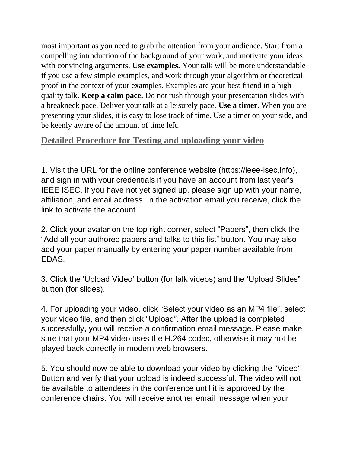most important as you need to grab the attention from your audience. Start from a compelling introduction of the background of your work, and motivate your ideas with convincing arguments. **Use examples.** Your talk will be more understandable if you use a few simple examples, and work through your algorithm or theoretical proof in the context of your examples. Examples are your best friend in a highquality talk. **Keep a calm pace.** Do not rush through your presentation slides with a breakneck pace. Deliver your talk at a leisurely pace. **Use a timer.** When you are presenting your slides, it is easy to lose track of time. Use a timer on your side, and be keenly aware of the amount of time left.

## **Detailed Procedure for Testing and uploading your video**

1. Visit the URL for the online conference website [\(https://ieee-isec.info\)](https://ieee-isec.info/), and sign in with your credentials if you have an account from last year's IEEE ISEC. If you have not yet signed up, please sign up with your name, affiliation, and email address. In the activation email you receive, click the link to activate the account.

2. Click your avatar on the top right corner, select "Papers", then click the "Add all your authored papers and talks to this list" button. You may also add your paper manually by entering your paper number available from EDAS.

3. Click the 'Upload Video' button (for talk videos) and the 'Upload Slides" button (for slides).

4. For uploading your video, click "Select your video as an MP4 file", select your video file, and then click "Upload". After the upload is completed successfully, you will receive a confirmation email message. Please make sure that your MP4 video uses the H.264 codec, otherwise it may not be played back correctly in modern web browsers.

5. You should now be able to download your video by clicking the "Video" Button and verify that your upload is indeed successful. The video will not be available to attendees in the conference until it is approved by the conference chairs. You will receive another email message when your